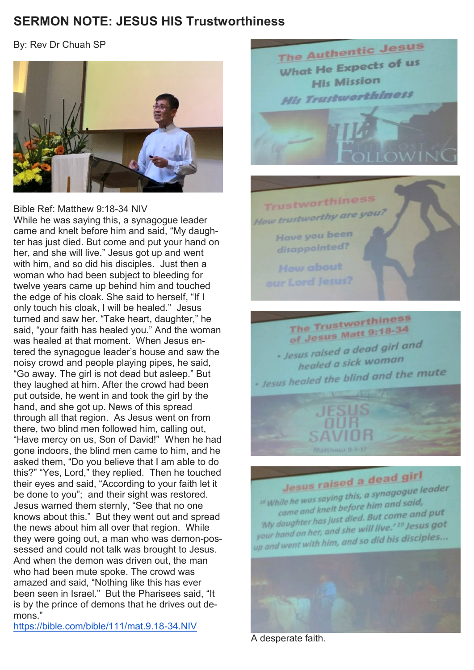### **SERMON NOTE: JESUS HIS Trustworthiness**

By: Rev Dr Chuah SP



Bible Ref: Matthew 9:18-34 NIV While he was saying this, a synagogue leader came and knelt before him and said, "My daughter has just died. But come and put your hand on her, and she will live." Jesus got up and went with him, and so did his disciples. Just then a woman who had been subject to bleeding for twelve years came up behind him and touched the edge of his cloak. She said to herself, "If I only touch his cloak, I will be healed." Jesus turned and saw her. "Take heart, daughter," he said, "your faith has healed you." And the woman was healed at that moment. When Jesus entered the synagogue leader's house and saw the noisy crowd and people playing pipes, he said, "Go away. The girl is not dead but asleep." But they laughed at him. After the crowd had been put outside, he went in and took the girl by the hand, and she got up. News of this spread through all that region. As Jesus went on from there, two blind men followed him, calling out, "Have mercy on us, Son of David!" When he had gone indoors, the blind men came to him, and he asked them, "Do you believe that I am able to do this?" "Yes, Lord," they replied. Then he touched their eyes and said, "According to your faith let it be done to you"; and their sight was restored. Jesus warned them sternly, "See that no one knows about this." But they went out and spread the news about him all over that region. While they were going out, a man who was demon-possessed and could not talk was brought to Jesus. And when the demon was driven out, the man who had been mute spoke. The crowd was amazed and said, "Nothing like this has ever been seen in Israel." But the Pharisees said, "It is by the prince of demons that he drives out demons."

<https://bible.com/bible/111/mat.9.18-34.NIV>



The Trustworthiness The Trustworth 3-34 · Jesus raised a dead girl and healed a sick woman realed the blind and the mute

Jesus raised a dead girl Jesus raised a dealer<br>
while he was saying this, a synagogue leader<br>
while he was saying this, a synagogue leader hile he was saying this, a syncometrial hills.<br>came and knelt before him and said, came and knelt before him and sure,<br>Wy daughter has just died. But come and put 'My daughter has just died. But come all live.'<br>your hand on her, and she will live.'<sup>19</sup> Jesus got your hand on her, and she will live.<br>up and went with him, and so did his disciples...



A desperate faith.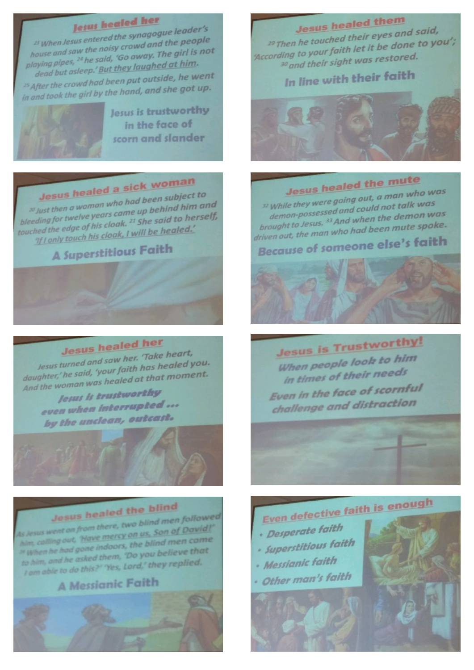### Jesus healed her

<sup>23</sup> When Jesus entered the synagogue leader's house and saw the noisy crowd and the people playing pipes, <sup>24</sup> he said, 'Go away. The girl is not dead but asleep.' But they laughed at him. <sup>25</sup> After the crowd had been put outside, he went in and took the girl by the hand, and she got up.



Jesus is trustworthy in the face of scorn and slander

**Jesus healed a sick woman** <sup>20</sup> Just then a woman who had been subject to bleeding for twelve years came up behind him and touched the edge of his cloak. 21 She said to herself, "If I only touch his cloak, I will be healed."

### **A Superstitious Faith**



Jesus turned and saw her. 'Take heart, daughter,' he said, 'your faith has healed you. And the woman was healed at that moment.

Jesus is trustworthy even when interrupted ... by the unclean, outcast.



## **Jesus healed the blind**

Is Jesus went on from there, two blind men followed him, calling out, 'Have mercy on us, Son of David!' a When he had gone indoors, the blind men came to him, and he asked them, 'Do you believe that I am able to do this?' 'Yes, Lord,' they replied.

### **A Messianic Faith**



### **Jesus healed them**

<sup>29</sup> Then he touched their eyes and said, 'According to your faith let it be done to you'; <sup>30</sup> and their sight was restored.

In line with their faith



### **Jesus healed the mute**

<sup>32</sup> While they were going out, a man who was demon-possessed and could not talk was brought to Jesus.<sup>33</sup> And when the demon was driven out, the man who had been mute spoke.

**Because of someone else's faith** 



**Jesus is Trustworthy!** When people look to him in times of their needs Even in the face of scornful challenge and distraction



# Even defective faith is enough

- · Desperate faith
- · Superstitious faith
- · Messignic faith
- · Other man's faith